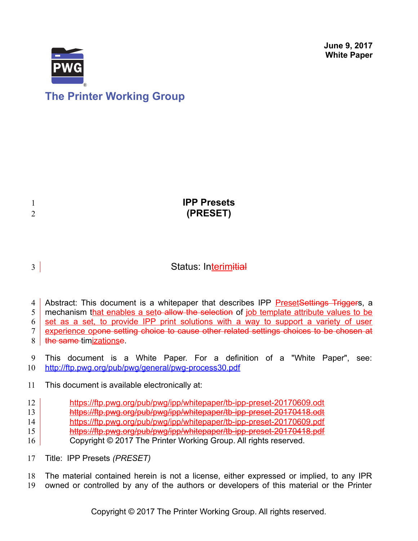**June 9, 2017 White Paper**



# **The Printer Working Group**

| $\overline{2}$ | <b>IPP Presets</b><br>(PRESET) |
|----------------|--------------------------------|
|                |                                |

# 3

# Status: Interimitial

Abstract: This document is a whitepaper that describes IPP Preset Settings Triggers, a 4

mechanism that enables a seto allow the selection of job template attribute values to be 5

set as a set, to provide IPP print solutions with a way to support a variety of user 6

experience opone setting choice to cause other related settings choices to be chosen at 7

the same timizationse. 8

This document is a White Paper. For a definition of a "White Paper", see: <http://ftp.pwg.org/pub/pwg/general/pwg-process30.pdf> 9 10

This document is available electronically at: 11

- <https://ftp.pwg.org/pub/pwg/ipp/whitepaper/tb-ipp-preset-20170609.odt> 12
- <https://ftp.pwg.org/pub/pwg/ipp/whitepaper/tb-ipp-preset-20170418.odt> 13
- <https://ftp.pwg.org/pub/pwg/ipp/whitepaper/tb-ipp-preset-20170609.pdf> 14
- <https://ftp.pwg.org/pub/pwg/ipp/whitepaper/tb-ipp-preset-20170418.pdf> 15
- Copyright © 2017 The Printer Working Group. All rights reserved. 16
- Title: IPP Presets *(PRESET)* 17

The material contained herein is not a license, either expressed or implied, to any IPR owned or controlled by any of the authors or developers of this material or the Printer 18 19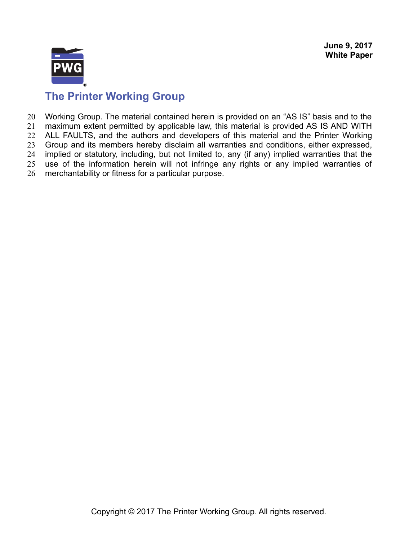

# **The Printer Working Group**

Working Group. The material contained herein is provided on an "AS IS" basis and to the maximum extent permitted by applicable law, this material is provided AS IS AND WITH ALL FAULTS, and the authors and developers of this material and the Printer Working Group and its members hereby disclaim all warranties and conditions, either expressed, implied or statutory, including, but not limited to, any (if any) implied warranties that the use of the information herein will not infringe any rights or any implied warranties of merchantability or fitness for a particular purpose. 20 21 22 23 24 25 26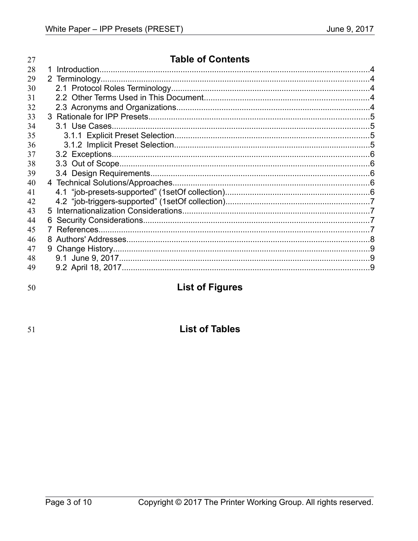| 27 | <b>Table of Contents</b> |  |
|----|--------------------------|--|
| 28 |                          |  |
| 29 |                          |  |
| 30 |                          |  |
| 31 |                          |  |
| 32 |                          |  |
| 33 |                          |  |
| 34 |                          |  |
| 35 |                          |  |
| 36 |                          |  |
| 37 |                          |  |
| 38 |                          |  |
| 39 |                          |  |
| 40 |                          |  |
| 41 |                          |  |
| 42 |                          |  |
| 43 |                          |  |
| 44 |                          |  |
| 45 |                          |  |
| 46 |                          |  |
| 47 |                          |  |
| 48 |                          |  |
| 49 |                          |  |
|    |                          |  |

50

# **List of Figures**

51

# **List of Tables**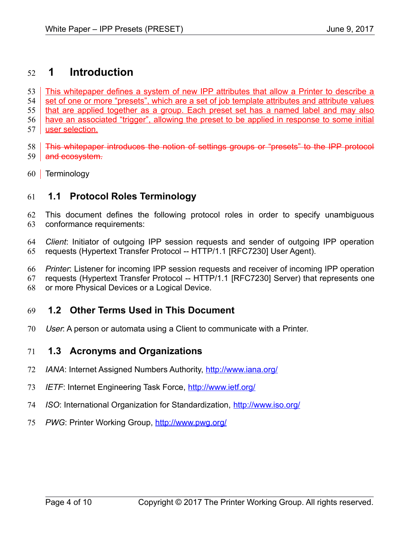### **1 Introduction** 52

This whitepaper defines a system of new IPP attributes that allow a Printer to describe a set of one or more "presets", which are a set of job template attributes and attribute values that are applied together as a group. Each preset set has a named label and may also have an associated "trigger", allowing the preset to be applied in response to some initial user selection. 53 54 55 56 57

This whitepaper introduces the notion of settings groups or "presets" to the IPP protocol 59 and ecosystem. 58

60 Terminology

#### **1.1 Protocol Roles Terminology** 61

This document defines the following protocol roles in order to specify unambiguous conformance requirements: 62 63

*Client*: Initiator of outgoing IPP session requests and sender of outgoing IPP operation requests (Hypertext Transfer Protocol -- HTTP/1.1 [\[RFC7230\]](#page-8-0) User Agent). 64 65

*Printer*: Listener for incoming IPP session requests and receiver of incoming IPP operation 66

requests (Hypertext Transfer Protocol -- HTTP/1.1 [\[RFC7230\]](#page-8-0) Server) that represents one 67

or more Physical Devices or a Logical Device. 68

#### **1.2 Other Terms Used in This Document** 69

User: A person or automata using a Client to communicate with a Printer. 70

#### **1.3 Acronyms and Organizations** 71

- *IANA*: Internet Assigned Numbers Authority,<http://www.iana.org/> 72
- *IETF*: Internet Engineering Task Force,<http://www.ietf.org/> 73
- *ISO*: International Organization for Standardization,<http://www.iso.org/> 74
- PWG: Printer Working Group,<http://www.pwg.org/> 75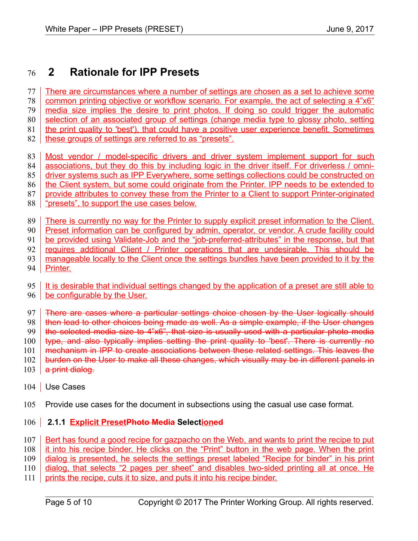### **2 Rationale for IPP Presets** 76

There are circumstances where a number of settings are chosen as a set to achieve some common printing objective or workflow scenario. For example, the act of selecting a 4"x6" media size implies the desire to print photos. If doing so could trigger the automatic selection of an associated group of settings (change media type to glossy photo, setting the print quality to 'best'), that could have a positive user experience benefit. Sometimes these groups of settings are referred to as "presets". 77 78 79 80 81 82

- Most vendor / model-specific drivers and driver system implement support for such associations, but they do this by including logic in the driver itself. For driverless / omni-83 84
- 85
- driver systems such as IPP Everywhere, some settings collections could be constructed on the Client system, but some could originate from the Printer. IPP needs to be extended to 86
- provide attributes to convey these from the Printer to a Client to support Printer-originated 87
- "presets", to support the use cases below. 88
- There is currently no way for the Printer to supply explicit preset information to the Client. 89
- Preset information can be configured by admin, operator, or vendor. A crude facility could 90
- be provided using Validate-Job and the "job-preferred-attributes" in the response, but that 91
- requires additional Client / Printer operations that are undesirable. This should be 92
- manageable locally to the Client once the settings bundles have been provided to it by the 93
- Printer. 94
- It is desirable that individual settings changed by the application of a preset are still able to 95
- be configurable by the User. 96
- There are cases where a particular settings choice chosen by the User logically should 97
- then lead to other choices being made as well. As a simple example, if the User changes 98
- the selected media size to 4"x6", that size is usually used with a particular photo media 99
- type, and also typically implies setting the print quality to 'best'. There is currently no 100
- mechanism in IPP to create associations between these related settings. This leaves the 101
- burden on the User to make all these changes, which visually may be in different panels in 102
- a print dialog. 103
- 104 | Use Cases
- Provide use cases for the document in subsections using the casual use case format. 105
- **2.1.1 Explicit PresetPhoto Media Selectioned** 106
- Bert has found a good recipe for gazpacho on the Web, and wants to print the recipe to put 107
- it into his recipe binder. He clicks on the "Print" button in the web page. When the print 108

dialog is presented, he selects the settings preset labeled "Recipe for binder" in his print 109

- dialog, that selects "2 pages per sheet" and disables two-sided printing all at once. He 110
- prints the recipe, cuts it to size, and puts it into his recipe binder. 111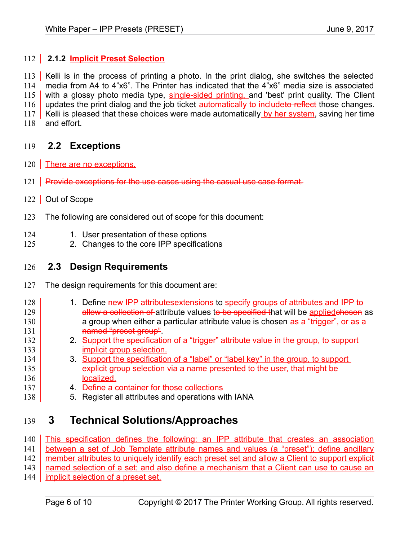## 112 2.1.2 **Implicit Preset Selection**

113 | Kelli is in the process of printing a photo. In the print dialog, she switches the selected media from A4 to 4"x6". The Printer has indicated that the 4"x6" media size is associated with a glossy photo media type, single-sided printing, and 'best' print quality. The Client updates the print dialog and the job ticket **automatically to includeto reflect** those changes. Kelli is pleased that these choices were made automatically by her system, saving her time and effort. 114 115 116 117 118

#### **2.2 Exceptions** 119

- 120 There are no exceptions.
- 121 Provide exceptions for the use cases using the casual use case format.
- 122 Out of Scope

133

- The following are considered out of scope for this document: 123
- 1. User presentation of these options 124
- 2. Changes to the core IPP specifications 125

#### **2.3 Design Requirements** 126

- The design requirements for this document are: 127
- 1. Define new IPP attributesextensions to specify groups of attributes and IPP toallow a collection of attribute values to be specified that will be applied chosen as a group when either a particular attribute value is chosen as a "trigger", or as a named "preset group". 128 129 130 131 132
	- 2. Support the specification of a "trigger" attribute value in the group, to support implicit group selection.
- 3. Support the specification of a "label" or "label key" in the group, to support explicit group selection via a name presented to the user, that might be localized. 134 135 136
- 4. Define a container for those collections 137
- 5. Register all attributes and operations with IANA 138

## **3 Technical Solutions/Approaches** 139

This specification defines the following: an IPP attribute that creates an association 140

between a set of Job Template attribute names and values (a "preset"); define ancillary 141

member attributes to uniquely identify each preset set and allow a Client to support explicit 142

named selection of a set; and also define a mechanism that a Client can use to cause an 143

implicit selection of a preset set. 144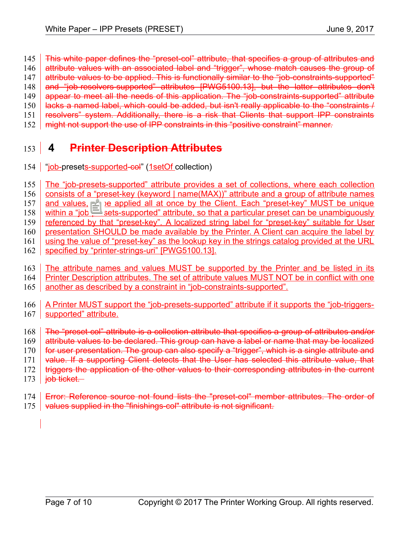This white paper defines the "preset-col" attribute, that specifies a group of attributes and 145

- attribute values with an associated label and "trigger", whose match causes the group of 146
- attribute values to be applied. This is functionally similar to the "job-constraints-supported" 147
- and "job-resolvers-supported" attributes [\[PWG5100.13\],](#page-8-1) but the latter attributes don't 148
- appear to meet all the needs of this application. The "job-constraints-supported" attribute lacks a named label, which could be added, but isn't really applicable to the "constraints / 149 150
- resolvers" system. Additionally, there is a risk that Clients that support IPP constraints 151
- might not support the use of IPP constraints in this "positive constraint" manner. 152

## **4 Printer Description Attributes** 153

154 | "job-presets-supported-col" (1setOf collection)

The "job-presets-supported" attribute provides a set of collections, where each collection consists of a "preset-key (keyword | name(MAX))" attribute and a group of attribute names and values, to be applied all at once by the Client. Each "preset-key" MUST be unique within a "job-presets-supported" attribute, so that a particular preset can be unambiguously referenced by that "preset-key". A localized string label for "preset-key" suitable for User presentation SHOULD be made available by the Printer. A Client can acquire the label by using the value of "preset-key" as the lookup key in the strings catalog provided at the URL specified by "printer-strings-uri" [\[PWG5100.13\].](#page-8-1) The attribute names and values MUST be supported by the Printer and be listed in its 155 156 157 158 159 160 161 162 163

- Printer Description attributes. The set of attribute values MUST NOT be in conflict with one 164
- another as described by a constraint in "job-constraints-supported". 165
- A Printer MUST support the "job-presets-supported" attribute if it supports the "job-triggerssupported" attribute. 166 167
- The "preset-col" attribute is a collection attribute that specifies a group of attributes and/or attribute values to be declared. This group can have a label or name that may be localized for user presentation. The group can also specify a "trigger", which is a single attribute and 168 169 170
- value. If a supporting Client detects that the User has selected this attribute value, that 171
- triggers the application of the other values to their corresponding attributes in the current 172
- job ticket. 173
- <span id="page-6-0"></span>[Error: Reference source not found](#page-6-0) lists the "preset-col" member attributes. The order of 174
- values supplied in the "finishings-col" attribute is not significant. 175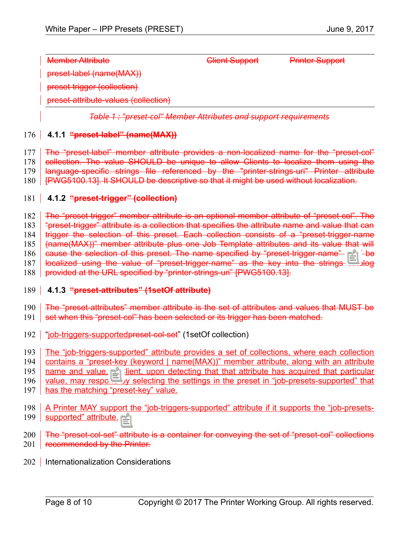Member Attribute **Client Support** Printer Support preset-label (name(MAX)) preset-trigger (collection) preset-attribute-values (collection)

*Table 1 : "preset-col" Member Attributes and support requirements*

#### **4.1.1 "preset-label" (name(MAX))** 176

The "preset-label" member attribute provides a non-localized name for the "preset-col" 177

collection. The value SHOULD be unique to allow Clients to localize them using the 178

language-specific strings file referenced by the "printer-strings-uri" Printer attribute 179

[\[PWG5100.13\].](#page-8-1) It SHOULD be descriptive so that it might be used without localization. 180

#### **4.1.2 "preset-trigger" (collection)** 181

The "preset-trigger" member attribute is an optional member attribute of "preset-col". The 182

"preset-trigger" attribute is a collection that specifies the attribute name and value that can 183

trigger the selection of this preset. Each collection consists of a "preset-trigger-name 184

(name(MAX))" member attribute plus one Job Template attributes and its value that will 185

cause the selection of this preset. The name specified by "preset-trigger-name" MAY be 186

localized using the value of "preset-trigger-name" as the key into the strings catalog 187

provided at the URL specified by "printer-strings-uri" [\[PWG5100.13\].](#page-8-1) 188

#### **4.1.3 "preset-attributes" (1setOf attribute)** 189

The "preset-attributes" member attribute is the set of attributes and values that MUST be 190

- set when this "preset-col" has been selected or its trigger has been matched. 191
- 192 | "job-triggers-supported preset-col-set" (1setOf collection)
- The "job-triggers-supported" attribute provides a set of collections, where each collection 193
- contains a "preset-key (keyword | name(MAX))" member attribute, along with an attribute 194

name and value. A Client, upon detecting that that attribute has acquired that particular 195

value, may respond by selecting the settings in the preset in "job-presets-supported" that has the matching "preset-key" value. 196 197

- 
- A Printer MAY support the "job-triggers-supported" attribute if it supports the "job-presetssupported" attribute. 198 199
- The "preset-col-set" attribute is a container for conveying the set of "preset-col" collections 201 **Fecommended by the Printer.** 200
- 202 | Internationalization Considerations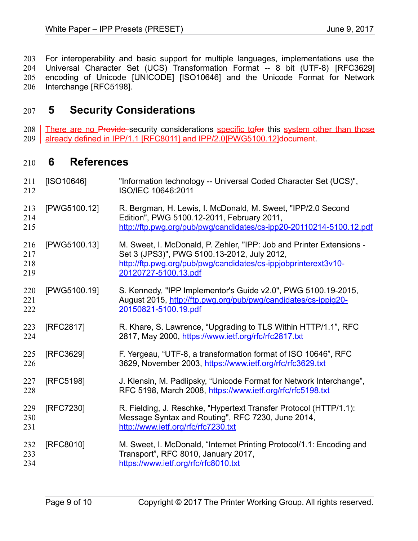For interoperability and basic support for multiple languages, implementations use the Universal Character Set (UCS) Transformation Format -- 8 bit (UTF-8) [\[RFC3629\]](#page-8-5) encoding of Unicode [\[UNICODE\]](#page-9-1) [\[ISO10646\]](#page-8-4) and the Unicode Format for Network Interchange [\[RFC5198\].](#page-8-3) 203 204 205 206

### **5 Security Considerations** 207

There are no Provide security considerations specific tofor this system other than those already defined in IPP/1.1 [\[RFC8011\]](#page-9-0) and IPP/2.[0\[PWG5100.12\]d](#page-8-2)ocument. 208 209

#### **6 References** 210

<span id="page-8-5"></span><span id="page-8-4"></span><span id="page-8-3"></span><span id="page-8-2"></span><span id="page-8-1"></span><span id="page-8-0"></span>

| 211<br>212               | [ SO10646]   | "Information technology -- Universal Coded Character Set (UCS)",<br>ISO/IEC 10646:2011                                                                                                                        |
|--------------------------|--------------|---------------------------------------------------------------------------------------------------------------------------------------------------------------------------------------------------------------|
| 213<br>214<br>215        | [PWG5100.12] | R. Bergman, H. Lewis, I. McDonald, M. Sweet, "IPP/2.0 Second<br>Edition", PWG 5100.12-2011, February 2011,<br>http://ftp.pwg.org/pub/pwg/candidates/cs-ipp20-20110214-5100.12.pdf                             |
| 216<br>217<br>218<br>219 | [PWG5100.13] | M. Sweet, I. McDonald, P. Zehler, "IPP: Job and Printer Extensions -<br>Set 3 (JPS3)", PWG 5100.13-2012, July 2012,<br>http://ftp.pwg.org/pub/pwg/candidates/cs-ippjobprinterext3v10-<br>20120727-5100.13.pdf |
| 220<br>221<br>222        | [PWG5100.19] | S. Kennedy, "IPP Implementor's Guide v2.0", PWG 5100.19-2015,<br>August 2015, http://ftp.pwg.org/pub/pwg/candidates/cs-ippig20-<br>20150821-5100.19.pdf                                                       |
| 223<br>224               | [RFC2817]    | R. Khare, S. Lawrence, "Upgrading to TLS Within HTTP/1.1", RFC<br>2817, May 2000, https://www.ietf.org/rfc/rfc2817.txt                                                                                        |
| 225<br>226               | [RFC3629]    | F. Yergeau, "UTF-8, a transformation format of ISO 10646", RFC<br>3629, November 2003, https://www.ietf.org/rfc/rfc3629.txt                                                                                   |
| 227<br>228               | [RFC5198]    | J. Klensin, M. Padlipsky, "Unicode Format for Network Interchange",<br>RFC 5198, March 2008, https://www.ietf.org/rfc/rfc5198.txt                                                                             |
| 229<br>230<br>231        | [RFC7230]    | R. Fielding, J. Reschke, "Hypertext Transfer Protocol (HTTP/1.1):<br>Message Syntax and Routing", RFC 7230, June 2014,<br>http://www.ietf.org/rfc/rfc7230.txt                                                 |
| 232<br>233<br>234        | [RFC8010]    | M. Sweet, I. McDonald, "Internet Printing Protocol/1.1: Encoding and<br>Transport", RFC 8010, January 2017,<br>https://www.ietf.org/rfc/rfc8010.txt                                                           |